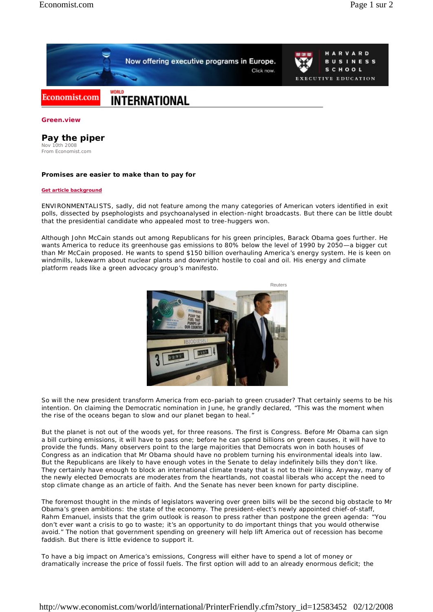USINESS

CHOOL



## **Green.view**

## **Pay the piper**

Nov 10th 2008 From Economist.com

## **Promises are easier to make than to pay for**

## **Get article background**

ENVIRONMENTALISTS, sadly, did not feature among the many categories of American voters identified in exit polls, dissected by psephologists and psychoanalysed in election-night broadcasts. But there can be little doubt that the presidential candidate who appealed most to tree-huggers won.

Although John McCain stands out among Republicans for his green principles, Barack Obama goes further. He wants America to reduce its greenhouse gas emissions to 80% below the level of 1990 by 2050—a bigger cut than Mr McCain proposed. He wants to spend \$150 billion overhauling America's energy system. He is keen on windmills, lukewarm about nuclear plants and downright hostile to coal and oil. His energy and climate platform reads like a green advocacy group's manifesto.



So will the new president transform America from eco-pariah to green crusader? That certainly seems to be his intention. On claiming the Democratic nomination in June, he grandly declared, "This was the moment when the rise of the oceans began to slow and our planet began to heal."

But the planet is not out of the woods yet, for three reasons. The first is Congress. Before Mr Obama can sign a bill curbing emissions, it will have to pass one; before he can spend billions on green causes, it will have to provide the funds. Many observers point to the large majorities that Democrats won in both houses of Congress as an indication that Mr Obama should have no problem turning his environmental ideals into law. But the Republicans are likely to have enough votes in the Senate to delay indefinitely bills they don't like. They certainly have enough to block an international climate treaty that is not to their liking. Anyway, many of the newly elected Democrats are moderates from the heartlands, not coastal liberals who accept the need to stop climate change as an article of faith. And the Senate has never been known for party discipline.

The foremost thought in the minds of legislators wavering over green bills will be the second big obstacle to Mr Obama's green ambitions: the state of the economy. The president-elect's newly appointed chief-of-staff, Rahm Emanuel, insists that the grim outlook is reason to press rather than postpone the green agenda: "You don't ever want a crisis to go to waste; it's an opportunity to do important things that you would otherwise avoid." The notion that government spending on greenery will help lift America out of recession has become faddish. But there is little evidence to support it.

To have a big impact on America's emissions, Congress will either have to spend a lot of money or dramatically increase the price of fossil fuels. The first option will add to an already enormous deficit; the